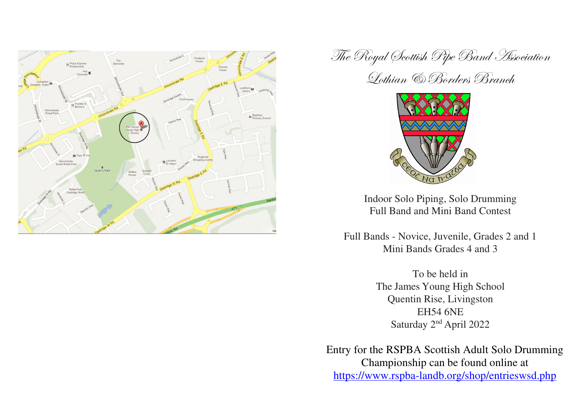

The Royal Scottish Pipe Band Association

Lothian & Borders Branch



Indoor Solo Piping, Solo Drumming Full Band and Mini Band Contest

Full Bands - Novice, Juvenile, Grades 2 and 1 Mini Bands Grades 4 and 3

> To be held in The James Young High School Quentin Rise, Livingston **EH54 6NE** Saturday 2<sup>nd</sup> April 2022

Entry for the RSPBA Scottish Adult Solo Drumming Championship can be found online at https://www.rspba-landb.org/shop/entrieswsd.php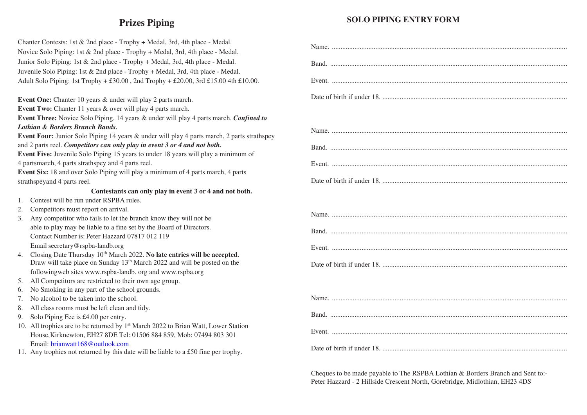# **Prizes Piping**

#### **SOLO PIPING ENTRY FORM**

| Chanter Contests: 1st & 2nd place - Trophy + Medal, 3rd, 4th place - Medal.                                    |  |
|----------------------------------------------------------------------------------------------------------------|--|
| Novice Solo Piping: 1st & 2nd place - Trophy + Medal, 3rd, 4th place - Medal.                                  |  |
| Junior Solo Piping: 1st & 2nd place - Trophy + Medal, 3rd, 4th place - Medal.                                  |  |
| Juvenile Solo Piping: 1st & 2nd place - Trophy + Medal, 3rd, 4th place - Medal.                                |  |
| Adult Solo Piping: 1st Trophy + £30.00, 2nd Trophy + £20.00, 3rd £15.00 4th £10.00.                            |  |
|                                                                                                                |  |
| Event One: Chanter 10 years & under will play 2 parts march.                                                   |  |
| Event Two: Chanter 11 years & over will play 4 parts march.                                                    |  |
| Event Three: Novice Solo Piping, 14 years & under will play 4 parts march. Confined to                         |  |
| Lothian & Borders Branch Bands.                                                                                |  |
| Event Four: Junior Solo Piping 14 years & under will play 4 parts march, 2 parts strathspey                    |  |
| and 2 parts reel. Competitors can only play in event 3 or 4 and not both.                                      |  |
| Event Five: Juvenile Solo Piping 15 years to under 18 years will play a minimum of                             |  |
| 4 partsmarch, 4 parts strathspey and 4 parts reel.                                                             |  |
| Event Six: 18 and over Solo Piping will play a minimum of 4 parts march, 4 parts                               |  |
| strathspeyand 4 parts reel.                                                                                    |  |
| Contestants can only play in event 3 or 4 and not both.                                                        |  |
| Contest will be run under RSPBA rules.<br>1.                                                                   |  |
| Competitors must report on arrival.<br>2.                                                                      |  |
| 3. Any competitor who fails to let the branch know they will not be                                            |  |
| able to play may be liable to a fine set by the Board of Directors.                                            |  |
| Contact Number is: Peter Hazzard 07817 012 119                                                                 |  |
| Email secretary@rspba-landb.org<br>4. Closing Date Thursday 10th March 2022. No late entries will be accepted. |  |
| Draw will take place on Sunday 13 <sup>th</sup> March 2022 and will be posted on the                           |  |
| followingweb sites www.rspba-landb. org and www.rspba.org                                                      |  |
| All Competitors are restricted to their own age group.<br>5.                                                   |  |
| No Smoking in any part of the school grounds.<br>6.                                                            |  |
| 7. No alcohol to be taken into the school.                                                                     |  |
| All class rooms must be left clean and tidy.<br>8.                                                             |  |
| 9. Solo Piping Fee is £4.00 per entry.                                                                         |  |
| 10. All trophies are to be returned by 1 <sup>st</sup> March 2022 to Brian Watt, Lower Station                 |  |
| House, Kirknewton, EH27 8DE Tel: 01506 884 859, Mob: 07494 803 301                                             |  |
| Email: brianwatt168@outlook.com                                                                                |  |
| 11. Any trophies not returned by this date will be liable to a £50 fine per trophy.                            |  |
|                                                                                                                |  |

Cheques to be made payable to The RSPBA Lothian & Borders Branch and Sent to:-Peter Hazzard - 2 Hillside Crescent North, Gorebridge, Midlothian, EH23 4DS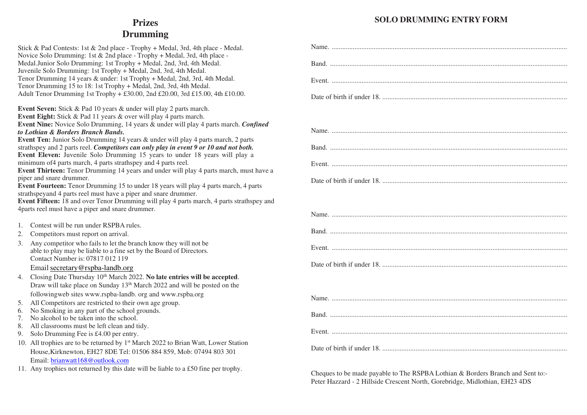### **SOLO DRUMMING ENTRY FORM**

# **Prizes Drumming**

|    | Stick & Pad Contests: 1st & 2nd place - Trophy + Medal, 3rd, 4th place - Medal.<br>Novice Solo Drumming: 1st & 2nd place - Trophy + Medal, 3rd, 4th place - | Nar    |
|----|-------------------------------------------------------------------------------------------------------------------------------------------------------------|--------|
|    | Medal.Junior Solo Drumming: 1st Trophy + Medal, 2nd, 3rd, 4th Medal.                                                                                        | Bar    |
|    | Juvenile Solo Drumming: 1st Trophy + Medal, 2nd, 3rd, 4th Medal.                                                                                            |        |
|    | Tenor Drumming 14 years & under: 1st Trophy + Medal, 2nd, 3rd, 4th Medal.                                                                                   | Eve    |
|    | Tenor Drumming 15 to 18: 1st Trophy + Medal, 2nd, 3rd, 4th Medal.                                                                                           |        |
|    | Adult Tenor Drumming 1st Trophy + £30.00, 2nd £20.00, 3rd £15.00, 4th £10.00.                                                                               | Dat    |
|    | Event Seven: Stick & Pad 10 years & under will play 2 parts march.                                                                                          |        |
|    | <b>Event Eight:</b> Stick & Pad 11 years & over will play 4 parts march.                                                                                    |        |
|    | Event Nine: Novice Solo Drumming, 14 years & under will play 4 parts march. Confined                                                                        |        |
|    | to Lothian & Borders Branch Bands.                                                                                                                          | Nar    |
|    | Event Ten: Junior Solo Drumming 14 years & under will play 4 parts march, 2 parts                                                                           |        |
|    | strathspey and 2 parts reel. Competitors can only play in event 9 or 10 and not both.                                                                       | Bar    |
|    | Event Eleven: Juvenile Solo Drumming 15 years to under 18 years will play a<br>minimum of 4 parts march, 4 parts strathspey and 4 parts reel.               |        |
|    | Event Thirteen: Tenor Drumming 14 years and under will play 4 parts march, must have a                                                                      | Eve    |
|    | piper and snare drummer.                                                                                                                                    |        |
|    | <b>Event Fourteen:</b> Tenor Drumming 15 to under 18 years will play 4 parts march, 4 parts                                                                 | Dat    |
|    | strathspeyand 4 parts reel must have a piper and snare drummer.                                                                                             |        |
|    | Event Fifteen: 18 and over Tenor Drumming will play 4 parts march, 4 parts strathspey and                                                                   |        |
|    | 4parts reel must have a piper and snare drummer.                                                                                                            |        |
|    |                                                                                                                                                             | Nar    |
| 1. | Contest will be run under RSPBA rules.                                                                                                                      |        |
| 2. | Competitors must report on arrival.                                                                                                                         | Bar    |
| 3. | Any competitor who fails to let the branch know they will not be                                                                                            |        |
|    | able to play may be liable to a fine set by the Board of Directors.                                                                                         | Eve    |
|    | Contact Number is: 07817 012 119                                                                                                                            |        |
|    | Email secretary@rspba-landb.org                                                                                                                             | Dat    |
| 4. | Closing Date Thursday 10 <sup>th</sup> March 2022. No late entries will be accepted.                                                                        |        |
|    | Draw will take place on Sunday 13 <sup>th</sup> March 2022 and will be posted on the                                                                        |        |
|    | followingweb sites www.rspba-landb. org and www.rspba.org                                                                                                   |        |
| 5. | All Competitors are restricted to their own age group.                                                                                                      | Nar    |
| 6. | No Smoking in any part of the school grounds.                                                                                                               |        |
| 7. | No alcohol to be taken into the school.                                                                                                                     | Bar    |
| 8. | All classrooms must be left clean and tidy.                                                                                                                 |        |
| 9. | Solo Drumming Fee is £4.00 per entry.                                                                                                                       | Eve    |
|    | 10. All trophies are to be returned by 1 <sup>st</sup> March 2022 to Brian Watt, Lower Station                                                              |        |
|    | House, Kirknewton, EH27 8DE Tel: 01506 884 859, Mob: 07494 803 301                                                                                          | Dat    |
|    | Email: brianwatt168@outlook.com                                                                                                                             |        |
|    | 11. Any trophies not returned by this date will be liable to a £50 fine per trophy.                                                                         |        |
|    |                                                                                                                                                             | $C$ he |

Cheques to be made payable to The RSPBA Lothian & Borders Branch and Sent to:-Peter Hazzard - 2 Hillside Crescent North, Gorebridge, Midlothian, EH23 4DS